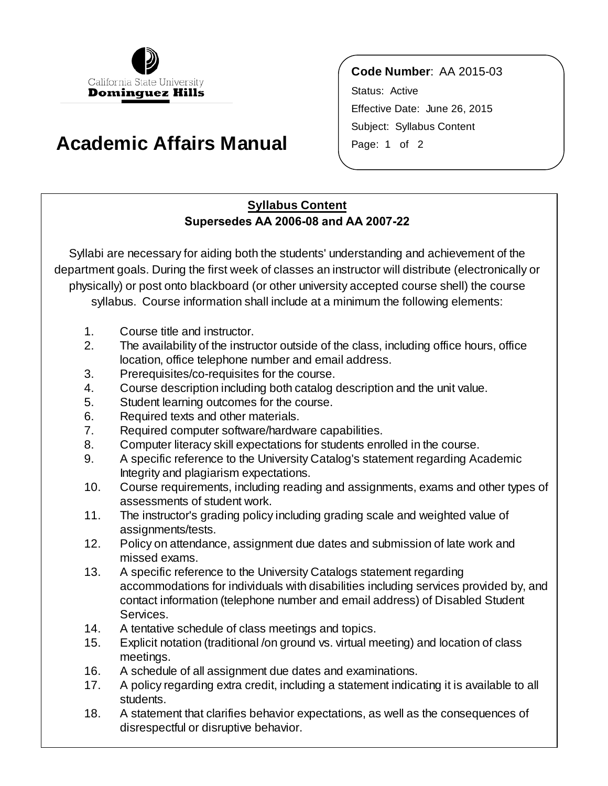

## **Academic Affairs Manual** Page: 1 of 2

**Code Number**: AA 2015-03 Status: Active Effective Date: June 26, 2015 Subject: Syllabus Content

## **Syllabus Content Supersedes AA 2006-08 and AA 2007-22**

Syllabi are necessary for aiding both the students' understanding and achievement of the department goals. During the first week of classes an instructor will distribute (electronically or physically) or post onto blackboard (or other university accepted course shell) the course syllabus. Course information shall include at a minimum the following elements:

- 1. Course title and instructor.
- 2. The availability of the instructor outside of the class, including office hours, office location, office telephone number and email address.
- 3. Prerequisites/co-requisites for the course.
- 4. Course description including both catalog description and the unit value.
- 5. Student learning outcomes for the course.
- 6. Required texts and other materials.
- 7. Required computer software/hardware capabilities.
- 8. Computer literacy skill expectations for students enrolled in the course.
- 9. A specific reference to the University Catalog's statement regarding Academic Integrity and plagiarism expectations.
- 10. Course requirements, including reading and assignments, exams and other types of assessments of student work.
- 11. The instructor's grading policy including grading scale and weighted value of assignments/tests.
- 12. Policy on attendance, assignment due dates and submission of late work and missed exams.
- 13. A specific reference to the University Catalogs statement regarding accommodations for individuals with disabilities including services provided by, and contact information (telephone number and email address) of Disabled Student Services.
- 14. A tentative schedule of class meetings and topics.
- 15. Explicit notation (traditional /on ground vs. virtual meeting) and location of class meetings.
- 16. A schedule of all assignment due dates and examinations.
- 17. A policy regarding extra credit, including a statement indicating it is available to all students.
- 18. A statement that clarifies behavior expectations, as well as the consequences of disrespectful or disruptive behavior.